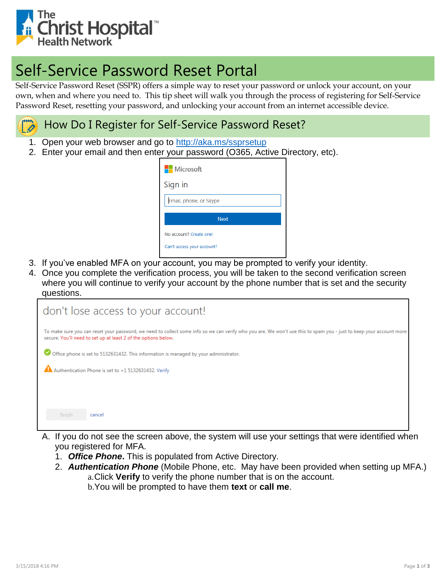

## Self-Service Password Reset Portal

Self-Service Password Reset (SSPR) offers a simple way to reset your password or unlock your account, on your own, when and where you need to. This tip sheet will walk you through the process of registering for Self-Service Password Reset, resetting your password, and unlocking your account from an internet accessible device.

## How Do I Register for Self-Service Password Reset? D

- 1. Open your web browser and go to<http://aka.ms/ssprsetup>
- 2. Enter your email and then enter your password (O365, Active Directory, etc).

- 3. If you've enabled MFA on your account, you may be prompted to verify your identity.
- 4. Once you complete the verification process, you will be taken to the second verification screen where you will continue to verify your account by the phone number that is set and the security questions.

| don't lose access to your account!                                                                                                                                                                                                    |  |  |  |  |
|---------------------------------------------------------------------------------------------------------------------------------------------------------------------------------------------------------------------------------------|--|--|--|--|
| To make sure you can reset your password, we need to collect some info so we can verify who you are. We won't use this to spam you - just to keep your account more<br>secure. You'll need to set up at least 2 of the options below. |  |  |  |  |
| Office phone is set to 5132631432. This information is managed by your administrator.                                                                                                                                                 |  |  |  |  |
| Authentication Phone is set to +1 5132631432. Verify                                                                                                                                                                                  |  |  |  |  |
|                                                                                                                                                                                                                                       |  |  |  |  |
|                                                                                                                                                                                                                                       |  |  |  |  |
| finish<br>cancel                                                                                                                                                                                                                      |  |  |  |  |
|                                                                                                                                                                                                                                       |  |  |  |  |

- A. If you do not see the screen above, the system will use your settings that were identified when you registered for MFA.
	- 1. *Office Phone***.** This is populated from Active Directory.
	- 2. *Authentication Phone* (Mobile Phone, etc. May have been provided when setting up MFA.) a.Click **Verify** to verify the phone number that is on the account.
		- b.You will be prompted to have them **text** or **call me**.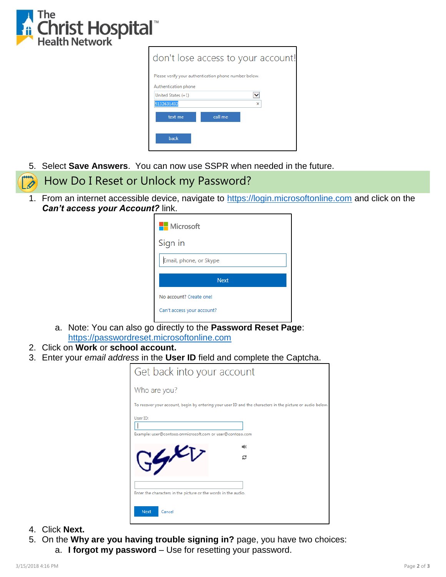

|                                                       |         | don't lose access to your account! |
|-------------------------------------------------------|---------|------------------------------------|
| Please verify your authentication phone number below. |         |                                    |
| Authentication phone                                  |         |                                    |
| United States (+1)                                    |         |                                    |
| 5132631432                                            |         | ×                                  |
| text me                                               | call me |                                    |
| back                                                  |         |                                    |

5. Select **Save Answers**. You can now use SSPR when needed in the future.

## How Do I Reset or Unlock my Password?  $\dot{\mathscr{O}}$

1. From an internet accessible device, navigate to [https://login.microsoftonline.com](https://login.microsoftonline.com/) and click on the *Can't access your Account?* link.

| Microsoft               |  |  |
|-------------------------|--|--|
| Sign in                 |  |  |
| Email, phone, or Skype  |  |  |
| <b>Next</b>             |  |  |
| No account? Create one! |  |  |
|                         |  |  |

- a. Note: You can also go directly to the **Password Reset Page**: [https://passwordreset.microsoftonline.com](https://passwordreset.microsoftonline.com/)
- 2. Click on **Work** or **school account.**
- 3. Enter your *email address* in the **User ID** field and complete the Captcha.

| Get back into your account                                                                                |
|-----------------------------------------------------------------------------------------------------------|
| Who are you?                                                                                              |
| To recover your account, begin by entering your user ID and the characters in the picture or audio below. |
| User ID:<br>Example: user@contoso.onmicrosoft.com or user@contoso.com                                     |
| ∎l₫<br>c                                                                                                  |
| Enter the characters in the picture or the words in the audio.                                            |
| <b>Next</b><br>Cancel                                                                                     |

- 4. Click **Next.**
- 5. On the **Why are you having trouble signing in?** page, you have two choices: a. **I forgot my password** – Use for resetting your password.
- 3/15/2018 4:16 PM Page **2** of **3**